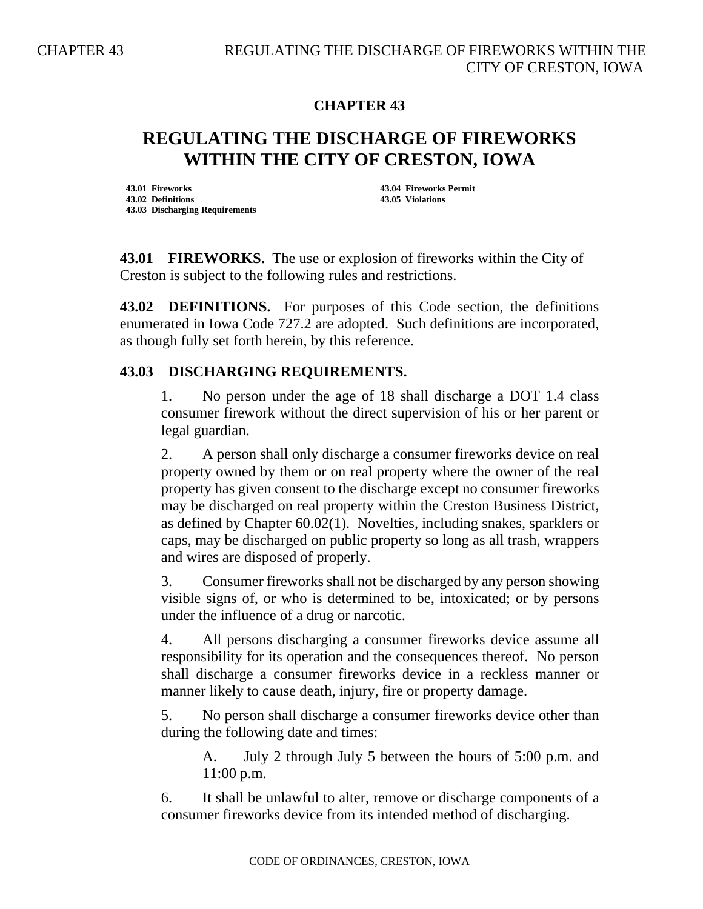## **CHAPTER 43**

## **REGULATING THE DISCHARGE OF FIREWORKS WITHIN THE CITY OF CRESTON, IOWA**

**43.01 Fireworks 43.04 Fireworks Permit 43.02 Definitions 43.05 Violations 43.03 Discharging Requirements**

**43.01 FIREWORKS.** The use or explosion of fireworks within the City of Creston is subject to the following rules and restrictions.

**43.02 DEFINITIONS.** For purposes of this Code section, the definitions enumerated in Iowa Code 727.2 are adopted. Such definitions are incorporated, as though fully set forth herein, by this reference.

## **43.03 DISCHARGING REQUIREMENTS.**

1. No person under the age of 18 shall discharge a DOT 1.4 class consumer firework without the direct supervision of his or her parent or legal guardian.

2. A person shall only discharge a consumer fireworks device on real property owned by them or on real property where the owner of the real property has given consent to the discharge except no consumer fireworks may be discharged on real property within the Creston Business District, as defined by Chapter 60.02(1). Novelties, including snakes, sparklers or caps, may be discharged on public property so long as all trash, wrappers and wires are disposed of properly.

3. Consumer fireworks shall not be discharged by any person showing visible signs of, or who is determined to be, intoxicated; or by persons under the influence of a drug or narcotic.

4. All persons discharging a consumer fireworks device assume all responsibility for its operation and the consequences thereof. No person shall discharge a consumer fireworks device in a reckless manner or manner likely to cause death, injury, fire or property damage.

5. No person shall discharge a consumer fireworks device other than during the following date and times:

A. July 2 through July 5 between the hours of 5:00 p.m. and 11:00 p.m.

6. It shall be unlawful to alter, remove or discharge components of a consumer fireworks device from its intended method of discharging.